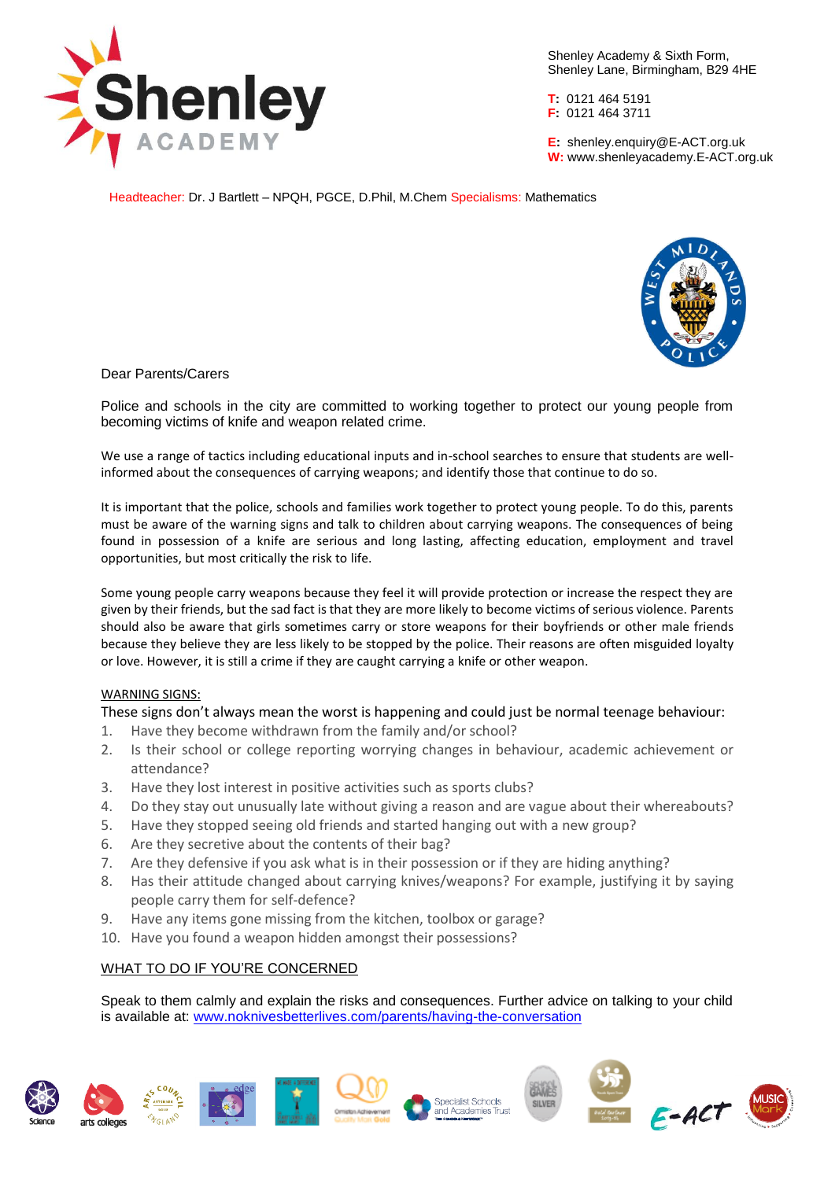

Shenley Academy & Sixth Form, Shenley Lane, Birmingham, B29 4HE

**T:** 0121 464 5191 **F:** 0121 464 3711

**E:** shenley[.enquiry@E-ACT.org.uk](mailto:enquiry@E-ACT.org.uk) **W:** www.shenleyacademy.E-ACT.org.uk

Headteacher: Dr. J Bartlett – NPQH, PGCE, D.Phil, M.Chem Specialisms: Mathematics



# Dear Parents/Carers

Police and schools in the city are committed to working together to protect our young people from becoming victims of knife and weapon related crime.

We use a range of tactics including educational inputs and in-school searches to ensure that students are wellinformed about the consequences of carrying weapons; and identify those that continue to do so.

It is important that the police, schools and families work together to protect young people. To do this, parents must be aware of the warning signs and talk to children about carrying weapons. The consequences of being found in possession of a knife are serious and long lasting, affecting education, employment and travel opportunities, but most critically the risk to life.

Some young people carry weapons because they feel it will provide protection or increase the respect they are given by their friends, but the sad fact is that they are more likely to become victims of serious violence. Parents should also be aware that girls sometimes carry or store weapons for their boyfriends or other male friends because they believe they are less likely to be stopped by the police. Their reasons are often misguided loyalty or love. However, it is still a crime if they are caught carrying a knife or other weapon.

### WARNING SIGNS:

These signs don't always mean the worst is happening and could just be normal teenage behaviour:

- 1. Have they become withdrawn from the family and/or school?
- 2. Is their school or college reporting worrying changes in behaviour, academic achievement or attendance?
- 3. Have they lost interest in positive activities such as sports clubs?
- 4. Do they stay out unusually late without giving a reason and are vague about their whereabouts?
- 5. Have they stopped seeing old friends and started hanging out with a new group?
- 6. Are they secretive about the contents of their bag?
- 7. Are they defensive if you ask what is in their possession or if they are hiding anything?
- 8. Has their attitude changed about carrying knives/weapons? For example, justifying it by saying people carry them for self-defence?
- 9. Have any items gone missing from the kitchen, toolbox or garage?
- 10. Have you found a weapon hidden amongst their possessions?

# WHAT TO DO IF YOU'RE CONCERNED

Speak to them calmly and explain the risks and consequences. Further advice on talking to your child is available at: [www.noknivesbetterlives.com/parents/having-the-conversation](http://www.noknivesbetterlives.com/parents/having-the-conversation)

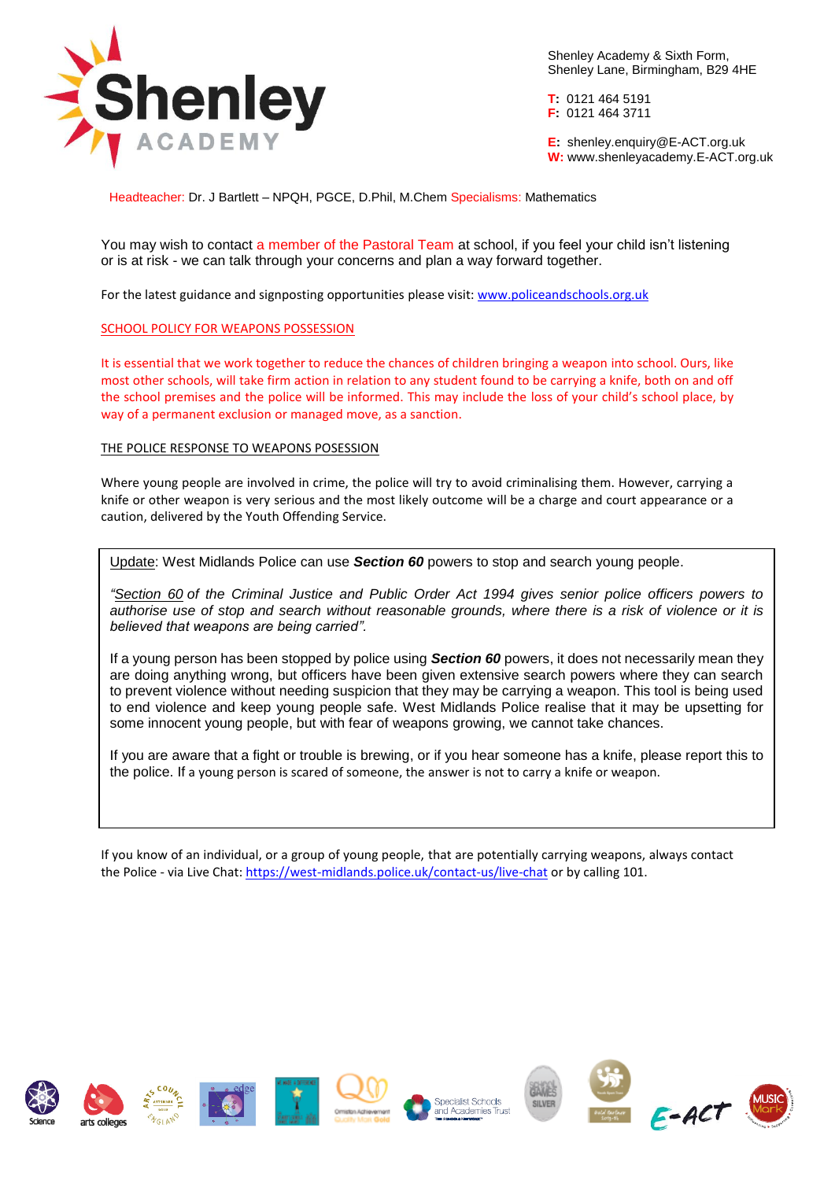

Shenley Academy & Sixth Form, Shenley Lane, Birmingham, B29 4HE

**T:** 0121 464 5191 **F:** 0121 464 3711

**E:** shenley[.enquiry@E-ACT.org.uk](mailto:enquiry@E-ACT.org.uk) **W:** www.shenleyacademy.E-ACT.org.uk

Headteacher: Dr. J Bartlett – NPQH, PGCE, D.Phil, M.Chem Specialisms: Mathematics

You may wish to contact a member of the Pastoral Team at school, if you feel your child isn't listening or is at risk - we can talk through your concerns and plan a way forward together.

For the latest guidance and signposting opportunities please visit[: www.policeandschools.org.uk](http://www.policeandschools.org.uk/)

#### SCHOOL POLICY FOR WEAPONS POSSESSION

It is essential that we work together to reduce the chances of children bringing a weapon into school. Ours, like most other schools, will take firm action in relation to any student found to be carrying a knife, both on and off the school premises and the police will be informed. This may include the loss of your child's school place, by way of a permanent exclusion or managed move, as a sanction.

#### THE POLICE RESPONSE TO WEAPONS POSESSION

Where young people are involved in crime, the police will try to avoid criminalising them. However, carrying a knife or other weapon is very serious and the most likely outcome will be a charge and court appearance or a caution, delivered by the Youth Offending Service.

Update: West Midlands Police can use *Section 60* powers to stop and search young people.

*["Section 60](http://www.legislation.gov.uk/ukpga/1994/33/section/60) of the Criminal Justice and Public Order Act 1994 gives senior police officers powers to authorise use of stop and search without reasonable grounds, where there is a risk of violence or it is believed that weapons are being carried".*

If a young person has been stopped by police using *Section 60* powers, it does not necessarily mean they are doing anything wrong, but officers have been given extensive search powers where they can search to prevent violence without needing suspicion that they may be carrying a weapon. This tool is being used to end violence and keep young people safe. West Midlands Police realise that it may be upsetting for some innocent young people, but with fear of weapons growing, we cannot take chances.

If you are aware that a fight or trouble is brewing, or if you hear someone has a knife, please report this to the police. If a young person is scared of someone, the answer is not to carry a knife or weapon.

If you know of an individual, or a group of young people, that are potentially carrying weapons, always contact the Police - via Live Chat[: https://west-midlands.police.uk/contact-us/live-chat](https://west-midlands.police.uk/contact-us/live-chat) or by calling 101.